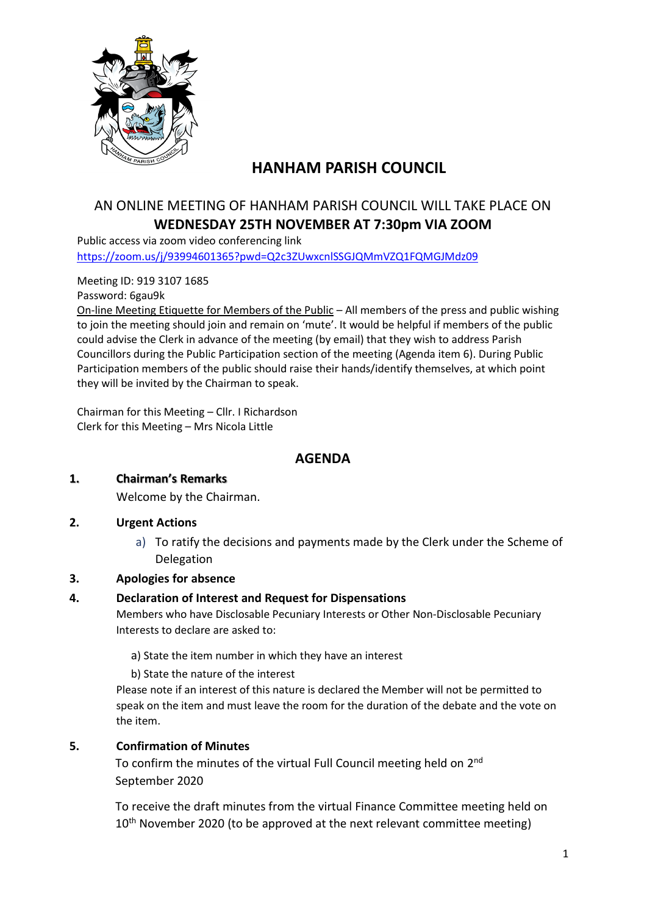

# **HANHAM PARISH COUNCIL**

## AN ONLINE MEETING OF HANHAM PARISH COUNCIL WILL TAKE PLACE ON **WEDNESDAY 25TH NOVEMBER AT 7:30pm VIA ZOOM**

Public access via zoom video conferencing link <https://zoom.us/j/93994601365?pwd=Q2c3ZUwxcnlSSGJQMmVZQ1FQMGJMdz09>

Meeting ID: 919 3107 1685

Password: 6gau9k

On-line Meeting Etiquette for Members of the Public – All members of the press and public wishing to join the meeting should join and remain on 'mute'. It would be helpful if members of the public could advise the Clerk in advance of the meeting (by email) that they wish to address Parish Councillors during the Public Participation section of the meeting (Agenda item 6). During Public Participation members of the public should raise their hands/identify themselves, at which point they will be invited by the Chairman to speak.

Chairman for this Meeting – Cllr. I Richardson Clerk for this Meeting – Mrs Nicola Little

### **AGENDA**

#### **1. Chairman's Remarks**

Welcome by the Chairman.

#### **2. Urgent Actions**

a) To ratify the decisions and payments made by the Clerk under the Scheme of Delegation

#### **3. Apologies for absence**

#### **4. Declaration of Interest and Request for Dispensations**

Members who have Disclosable Pecuniary Interests or Other Non-Disclosable Pecuniary Interests to declare are asked to:

a) State the item number in which they have an interest

b) State the nature of the interest

Please note if an interest of this nature is declared the Member will not be permitted to speak on the item and must leave the room for the duration of the debate and the vote on the item.

#### **5. Confirmation of Minutes**

To confirm the minutes of the virtual Full Council meeting held on 2<sup>nd</sup> September 2020

To receive the draft minutes from the virtual Finance Committee meeting held on  $10<sup>th</sup>$  November 2020 (to be approved at the next relevant committee meeting)